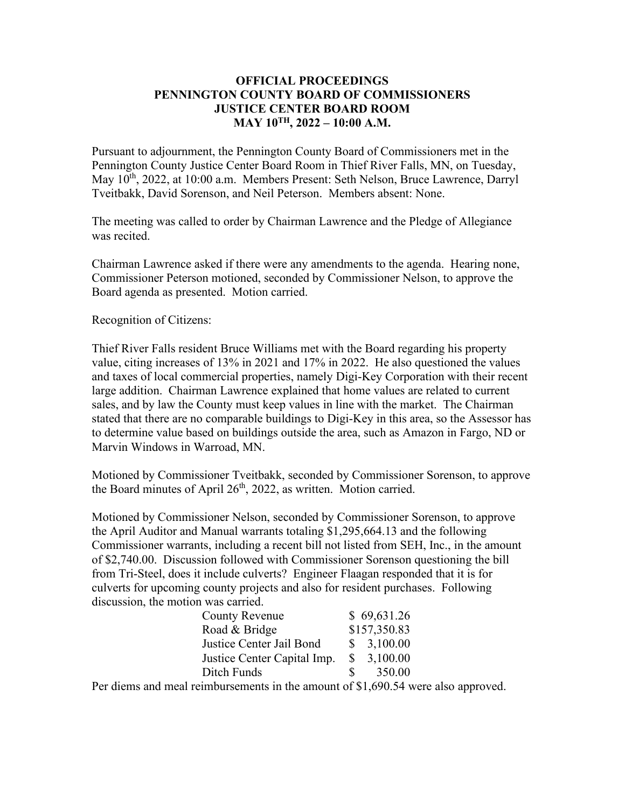### **OFFICIAL PROCEEDINGS PENNINGTON COUNTY BOARD OF COMMISSIONERS JUSTICE CENTER BOARD ROOM MAY 10TH, 2022 – 10:00 A.M.**

Pursuant to adjournment, the Pennington County Board of Commissioners met in the Pennington County Justice Center Board Room in Thief River Falls, MN, on Tuesday, May 10<sup>th</sup>, 2022, at 10:00 a.m. Members Present: Seth Nelson, Bruce Lawrence, Darryl Tveitbakk, David Sorenson, and Neil Peterson. Members absent: None.

The meeting was called to order by Chairman Lawrence and the Pledge of Allegiance was recited.

Chairman Lawrence asked if there were any amendments to the agenda. Hearing none, Commissioner Peterson motioned, seconded by Commissioner Nelson, to approve the Board agenda as presented. Motion carried.

Recognition of Citizens:

Thief River Falls resident Bruce Williams met with the Board regarding his property value, citing increases of 13% in 2021 and 17% in 2022. He also questioned the values and taxes of local commercial properties, namely Digi-Key Corporation with their recent large addition. Chairman Lawrence explained that home values are related to current sales, and by law the County must keep values in line with the market. The Chairman stated that there are no comparable buildings to Digi-Key in this area, so the Assessor has to determine value based on buildings outside the area, such as Amazon in Fargo, ND or Marvin Windows in Warroad, MN.

Motioned by Commissioner Tveitbakk, seconded by Commissioner Sorenson, to approve the Board minutes of April  $26<sup>th</sup>$ , 2022, as written. Motion carried.

Motioned by Commissioner Nelson, seconded by Commissioner Sorenson, to approve the April Auditor and Manual warrants totaling \$1,295,664.13 and the following Commissioner warrants, including a recent bill not listed from SEH, Inc., in the amount of \$2,740.00. Discussion followed with Commissioner Sorenson questioning the bill from Tri-Steel, does it include culverts? Engineer Flaagan responded that it is for culverts for upcoming county projects and also for resident purchases. Following discussion, the motion was carried.

| County Revenue              | \$69,631.26              |
|-----------------------------|--------------------------|
| Road & Bridge               | \$157,350.83             |
| Justice Center Jail Bond    | 3,100.00<br>S            |
| Justice Center Capital Imp. | 3,100.00<br><sup>S</sup> |
| Ditch Funds                 | 350.00<br>S.             |

Per diems and meal reimbursements in the amount of \$1,690.54 were also approved.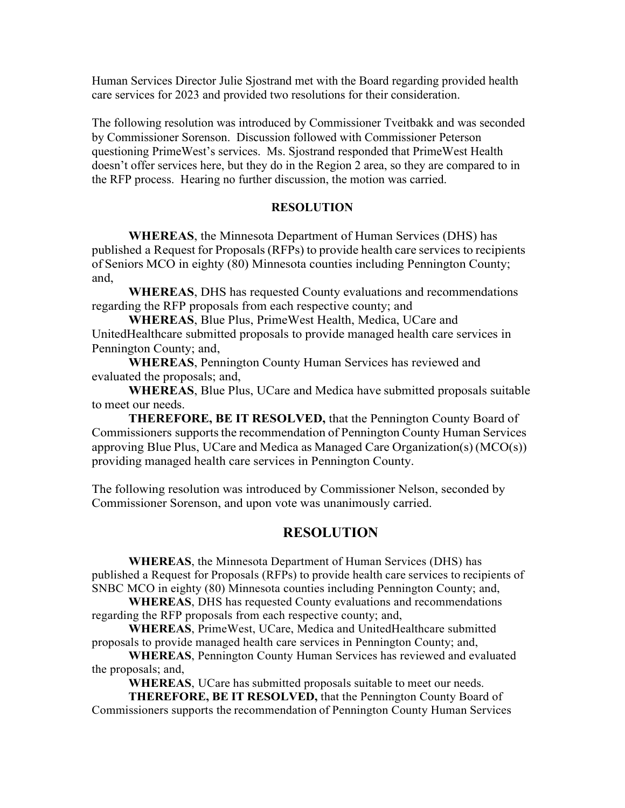Human Services Director Julie Sjostrand met with the Board regarding provided health care services for 2023 and provided two resolutions for their consideration.

The following resolution was introduced by Commissioner Tveitbakk and was seconded by Commissioner Sorenson. Discussion followed with Commissioner Peterson questioning PrimeWest's services. Ms. Sjostrand responded that PrimeWest Health doesn't offer services here, but they do in the Region 2 area, so they are compared to in the RFP process. Hearing no further discussion, the motion was carried.

#### **RESOLUTION**

**WHEREAS**, the Minnesota Department of Human Services (DHS) has published a Request for Proposals(RFPs) to provide health care services to recipients of Seniors MCO in eighty (80) Minnesota counties including Pennington County; and,

**WHEREAS**, DHS has requested County evaluations and recommendations regarding the RFP proposals from each respective county; and

**WHEREAS**, Blue Plus, PrimeWest Health, Medica, UCare and UnitedHealthcare submitted proposals to provide managed health care services in Pennington County; and,

**WHEREAS**, Pennington County Human Services has reviewed and evaluated the proposals; and,

**WHEREAS**, Blue Plus, UCare and Medica have submitted proposals suitable to meet our needs.

**THEREFORE, BE IT RESOLVED,** that the Pennington County Board of Commissioners supports the recommendation of Pennington County Human Services approving Blue Plus, UCare and Medica as Managed Care Organization(s) (MCO(s)) providing managed health care services in Pennington County.

The following resolution was introduced by Commissioner Nelson, seconded by Commissioner Sorenson, and upon vote was unanimously carried.

### **RESOLUTION**

**WHEREAS**, the Minnesota Department of Human Services (DHS) has published a Request for Proposals (RFPs) to provide health care services to recipients of SNBC MCO in eighty (80) Minnesota counties including Pennington County; and,

**WHEREAS**, DHS has requested County evaluations and recommendations regarding the RFP proposals from each respective county; and,

**WHEREAS**, PrimeWest, UCare, Medica and UnitedHealthcare submitted proposals to provide managed health care services in Pennington County; and,

**WHEREAS**, Pennington County Human Services has reviewed and evaluated the proposals; and,

**WHEREAS**, UCare has submitted proposals suitable to meet our needs.

**THEREFORE, BE IT RESOLVED,** that the Pennington County Board of Commissioners supports the recommendation of Pennington County Human Services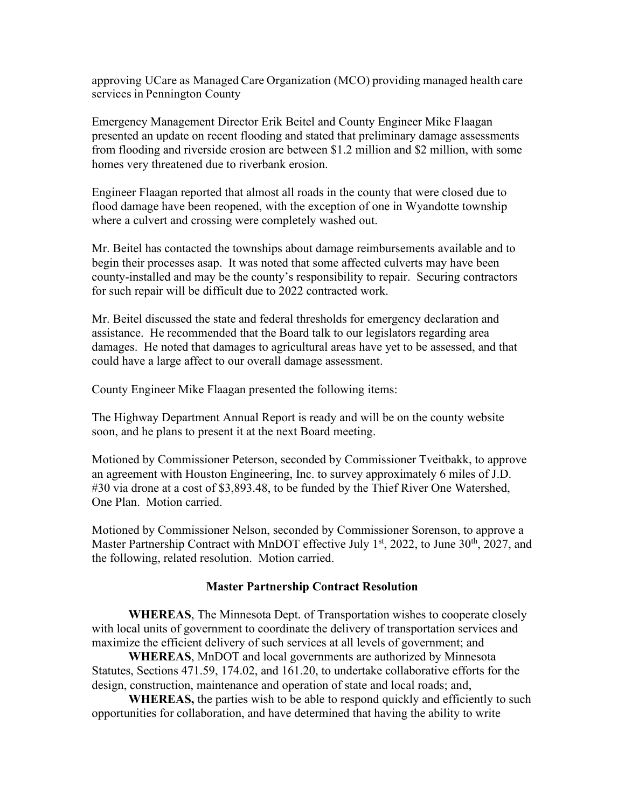approving UCare as Managed Care Organization (MCO) providing managed health care services in Pennington County

Emergency Management Director Erik Beitel and County Engineer Mike Flaagan presented an update on recent flooding and stated that preliminary damage assessments from flooding and riverside erosion are between \$1.2 million and \$2 million, with some homes very threatened due to riverbank erosion.

Engineer Flaagan reported that almost all roads in the county that were closed due to flood damage have been reopened, with the exception of one in Wyandotte township where a culvert and crossing were completely washed out.

Mr. Beitel has contacted the townships about damage reimbursements available and to begin their processes asap. It was noted that some affected culverts may have been county-installed and may be the county's responsibility to repair. Securing contractors for such repair will be difficult due to 2022 contracted work.

Mr. Beitel discussed the state and federal thresholds for emergency declaration and assistance. He recommended that the Board talk to our legislators regarding area damages. He noted that damages to agricultural areas have yet to be assessed, and that could have a large affect to our overall damage assessment.

County Engineer Mike Flaagan presented the following items:

The Highway Department Annual Report is ready and will be on the county website soon, and he plans to present it at the next Board meeting.

Motioned by Commissioner Peterson, seconded by Commissioner Tveitbakk, to approve an agreement with Houston Engineering, Inc. to survey approximately 6 miles of J.D. #30 via drone at a cost of \$3,893.48, to be funded by the Thief River One Watershed, One Plan. Motion carried.

Motioned by Commissioner Nelson, seconded by Commissioner Sorenson, to approve a Master Partnership Contract with MnDOT effective July  $1<sup>st</sup>$ , 2022, to June 30<sup>th</sup>, 2027, and the following, related resolution. Motion carried.

# **Master Partnership Contract Resolution**

**WHEREAS**, The Minnesota Dept. of Transportation wishes to cooperate closely with local units of government to coordinate the delivery of transportation services and maximize the efficient delivery of such services at all levels of government; and

**WHEREAS**, MnDOT and local governments are authorized by Minnesota Statutes, Sections 471.59, 174.02, and 161.20, to undertake collaborative efforts for the design, construction, maintenance and operation of state and local roads; and,

**WHEREAS,** the parties wish to be able to respond quickly and efficiently to such opportunities for collaboration, and have determined that having the ability to write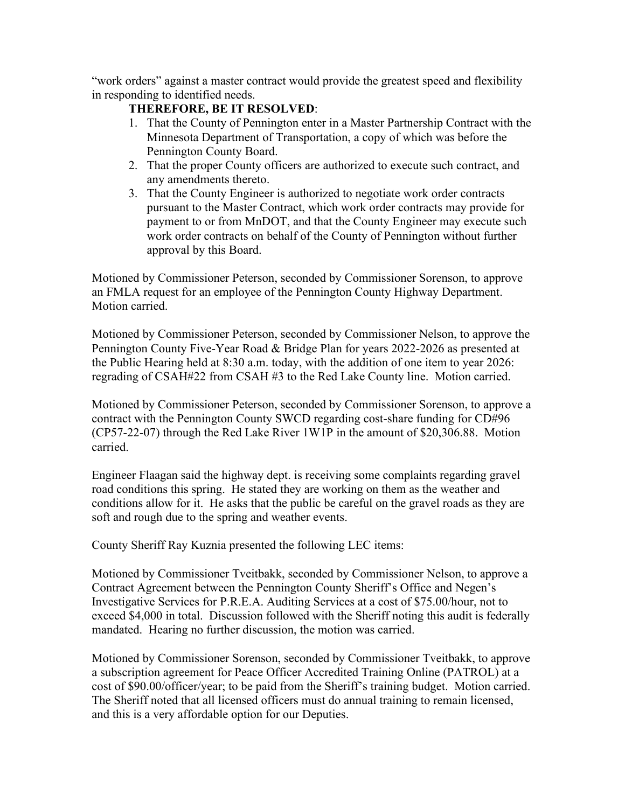"work orders" against a master contract would provide the greatest speed and flexibility in responding to identified needs.

## **THEREFORE, BE IT RESOLVED**:

- 1. That the County of Pennington enter in a Master Partnership Contract with the Minnesota Department of Transportation, a copy of which was before the Pennington County Board.
- 2. That the proper County officers are authorized to execute such contract, and any amendments thereto.
- 3. That the County Engineer is authorized to negotiate work order contracts pursuant to the Master Contract, which work order contracts may provide for payment to or from MnDOT, and that the County Engineer may execute such work order contracts on behalf of the County of Pennington without further approval by this Board.

Motioned by Commissioner Peterson, seconded by Commissioner Sorenson, to approve an FMLA request for an employee of the Pennington County Highway Department. Motion carried.

Motioned by Commissioner Peterson, seconded by Commissioner Nelson, to approve the Pennington County Five-Year Road & Bridge Plan for years 2022-2026 as presented at the Public Hearing held at 8:30 a.m. today, with the addition of one item to year 2026: regrading of CSAH#22 from CSAH #3 to the Red Lake County line. Motion carried.

Motioned by Commissioner Peterson, seconded by Commissioner Sorenson, to approve a contract with the Pennington County SWCD regarding cost-share funding for CD#96 (CP57-22-07) through the Red Lake River 1W1P in the amount of \$20,306.88. Motion carried.

Engineer Flaagan said the highway dept. is receiving some complaints regarding gravel road conditions this spring. He stated they are working on them as the weather and conditions allow for it. He asks that the public be careful on the gravel roads as they are soft and rough due to the spring and weather events.

County Sheriff Ray Kuznia presented the following LEC items:

Motioned by Commissioner Tveitbakk, seconded by Commissioner Nelson, to approve a Contract Agreement between the Pennington County Sheriff's Office and Negen's Investigative Services for P.R.E.A. Auditing Services at a cost of \$75.00/hour, not to exceed \$4,000 in total. Discussion followed with the Sheriff noting this audit is federally mandated. Hearing no further discussion, the motion was carried.

Motioned by Commissioner Sorenson, seconded by Commissioner Tveitbakk, to approve a subscription agreement for Peace Officer Accredited Training Online (PATROL) at a cost of \$90.00/officer/year; to be paid from the Sheriff's training budget. Motion carried. The Sheriff noted that all licensed officers must do annual training to remain licensed, and this is a very affordable option for our Deputies.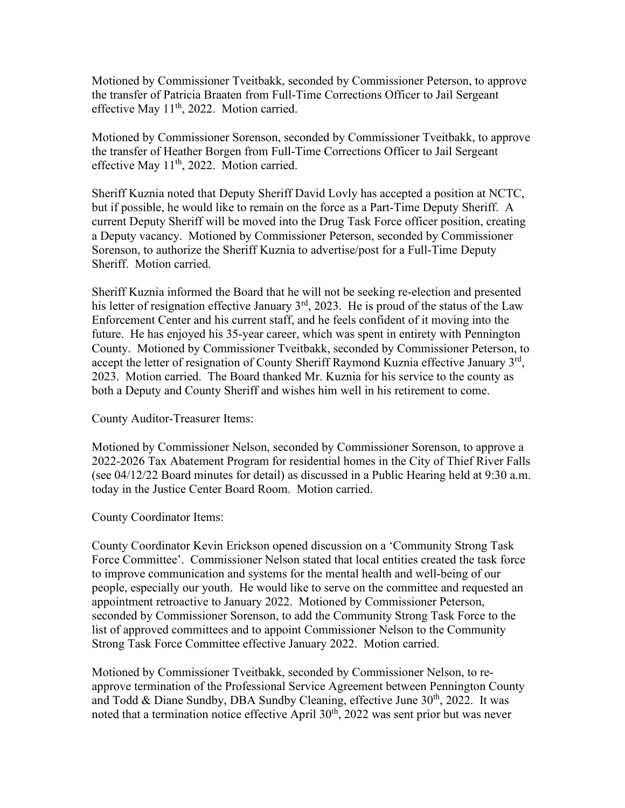Motioned by Commissioner Tveitbakk, seconded by Commissioner Peterson, to approve the transfer of Patricia Braaten from Full-Time Corrections Officer to Jail Sergeant effective May 11<sup>th</sup>, 2022. Motion carried.

Motioned by Commissioner Sorenson, seconded by Commissioner Tveitbakk, to approve the transfer of Heather Borgen from Full-Time Corrections Officer to Jail Sergeant effective May  $11^{th}$ , 2022. Motion carried.

Sheriff Kuznia noted that Deputy Sheriff David Lovly has accepted a position at NCTC, but if possible, he would like to remain on the force as a Part-Time Deputy Sheriff. A current Deputy Sheriff will be moved into the Drug Task Force officer position, creating a Deputy vacancy. Motioned by Commissioner Peterson, seconded by Commissioner Sorenson, to authorize the Sheriff Kuznia to advertise/post for a Full-Time Deputy Sheriff. Motion carried.

Sheriff Kuznia informed the Board that he will not be seeking re-election and presented his letter of resignation effective January  $3<sup>rd</sup>$ , 2023. He is proud of the status of the Law Enforcement Center and his current staff, and he feels confident of it moving into the future. He has enjoyed his 35-year career, which was spent in entirety with Pennington County. Motioned by Commissioner Tveitbakk, seconded by Commissioner Peterson, to accept the letter of resignation of County Sheriff Raymond Kuznia effective January  $3<sup>rd</sup>$ , 2023. Motion carried. The Board thanked Mr. Kuznia for his service to the county as both a Deputy and County Sheriff and wishes him well in his retirement to come.

County Auditor-Treasurer Items:

Motioned by Commissioner Nelson, seconded by Commissioner Sorenson, to approve a 2022-2026 Tax Abatement Program for residential homes in the City of Thief River Falls (see 04/12/22 Board minutes for detail) as discussed in a Public Hearing held at 9:30 a.m. today in the Justice Center Board Room. Motion carried.

County Coordinator Items:

County Coordinator Kevin Erickson opened discussion on a 'Community Strong Task Force Committee'. Commissioner Nelson stated that local entities created the task force to improve communication and systems for the mental health and well-being of our people, especially our youth. He would like to serve on the committee and requested an appointment retroactive to January 2022. Motioned by Commissioner Peterson, seconded by Commissioner Sorenson, to add the Community Strong Task Force to the list of approved committees and to appoint Commissioner Nelson to the Community Strong Task Force Committee effective January 2022. Motion carried.

Motioned by Commissioner Tveitbakk, seconded by Commissioner Nelson, to reapprove termination of the Professional Service Agreement between Pennington County and Todd & Diane Sundby, DBA Sundby Cleaning, effective June 30<sup>th</sup>, 2022. It was noted that a termination notice effective April  $30<sup>th</sup>$ , 2022 was sent prior but was never